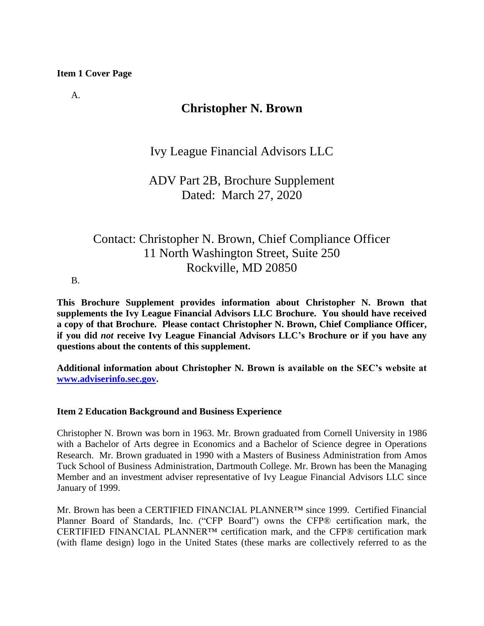### **Item 1 Cover Page**

A.

## **Christopher N. Brown**

Ivy League Financial Advisors LLC

ADV Part 2B, Brochure Supplement Dated: March 27, 2020

# Contact: Christopher N. Brown, Chief Compliance Officer 11 North Washington Street, Suite 250 Rockville, MD 20850

B.

**This Brochure Supplement provides information about Christopher N. Brown that supplements the Ivy League Financial Advisors LLC Brochure. You should have received a copy of that Brochure. Please contact Christopher N. Brown, Chief Compliance Officer, if you did** *not* **receive Ivy League Financial Advisors LLC's Brochure or if you have any questions about the contents of this supplement.**

**Additional information about Christopher N. Brown is available on the SEC's website at [www.adviserinfo.sec.gov.](http://www.adviserinfo.sec.gov/)** 

### **Item 2 Education Background and Business Experience**

Christopher N. Brown was born in 1963. Mr. Brown graduated from Cornell University in 1986 with a Bachelor of Arts degree in Economics and a Bachelor of Science degree in Operations Research. Mr. Brown graduated in 1990 with a Masters of Business Administration from Amos Tuck School of Business Administration, Dartmouth College. Mr. Brown has been the Managing Member and an investment adviser representative of Ivy League Financial Advisors LLC since January of 1999.

Mr. Brown has been a CERTIFIED FINANCIAL PLANNER™ since 1999. Certified Financial Planner Board of Standards, Inc. ("CFP Board") owns the CFP® certification mark, the CERTIFIED FINANCIAL PLANNER™ certification mark, and the CFP® certification mark (with flame design) logo in the United States (these marks are collectively referred to as the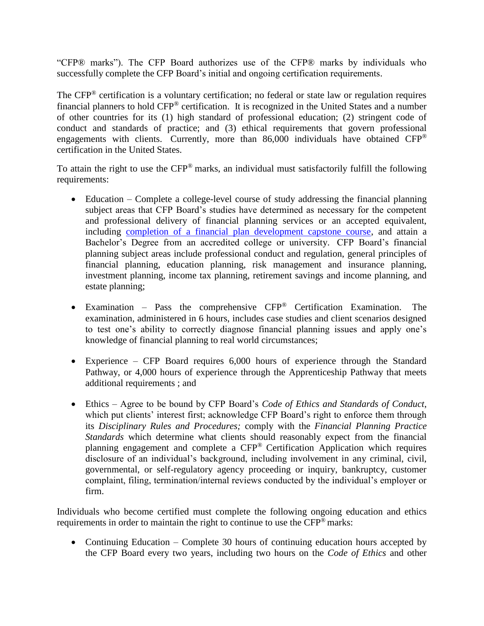"CFP® marks"). The CFP Board authorizes use of the CFP® marks by individuals who successfully complete the CFP Board's initial and ongoing certification requirements.

The CFP® certification is a voluntary certification; no federal or state law or regulation requires financial planners to hold CFP® certification. It is recognized in the United States and a number of other countries for its (1) high standard of professional education; (2) stringent code of conduct and standards of practice; and (3) ethical requirements that govern professional engagements with clients. Currently, more than 86,000 individuals have obtained CFP® certification in the United States.

To attain the right to use the CFP® marks, an individual must satisfactorily fulfill the following requirements:

- Education Complete a college-level course of study addressing the financial planning subject areas that CFP Board's studies have determined as necessary for the competent and professional delivery of financial planning services or an accepted equivalent, including [completion of a financial plan development capstone course,](https://www.cfp.net/become-a-cfp-professional/cfp-certification-requirements/education-requirement/capstone-course) and attain a Bachelor's Degree from an accredited college or university. CFP Board's financial planning subject areas include professional conduct and regulation, general principles of financial planning, education planning, risk management and insurance planning, investment planning, income tax planning, retirement savings and income planning, and estate planning;
- Examination Pass the comprehensive CFP® Certification Examination. The examination, administered in 6 hours, includes case studies and client scenarios designed to test one's ability to correctly diagnose financial planning issues and apply one's knowledge of financial planning to real world circumstances;
- Experience CFP Board requires 6,000 hours of experience through the Standard Pathway, or 4,000 hours of experience through the Apprenticeship Pathway that meets additional requirements ; and
- Ethics Agree to be bound by CFP Board's *Code of Ethics and Standards of Conduct*, which put clients' interest first; acknowledge CFP Board's right to enforce them through its *Disciplinary Rules and Procedures;* comply with the *Financial Planning Practice Standards* which determine what clients should reasonably expect from the financial planning engagement and complete a CFP® Certification Application which requires disclosure of an individual's background, including involvement in any criminal, civil, governmental, or self-regulatory agency proceeding or inquiry, bankruptcy, customer complaint, filing, termination/internal reviews conducted by the individual's employer or firm.

Individuals who become certified must complete the following ongoing education and ethics requirements in order to maintain the right to continue to use the CFP® marks:

• Continuing Education – Complete 30 hours of continuing education hours accepted by the CFP Board every two years, including two hours on the *Code of Ethics* and other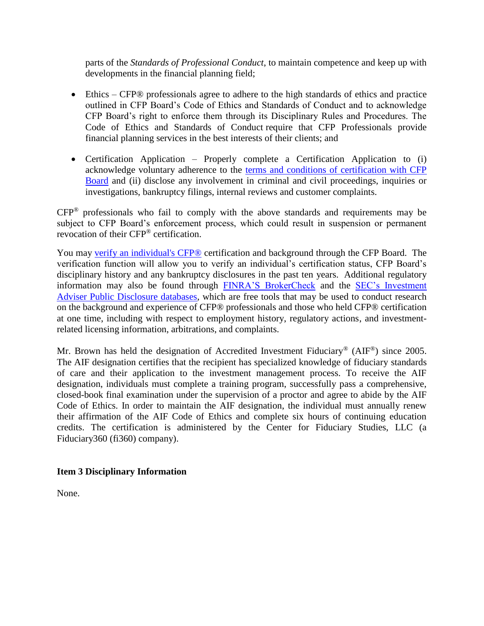parts of the *Standards of Professional Conduct*, to maintain competence and keep up with developments in the financial planning field;

- Ethics CFP® professionals agree to adhere to the high standards of ethics and practice outlined in CFP Board's Code of Ethics and Standards of Conduct and to acknowledge CFP Board's right to enforce them through its Disciplinary Rules and Procedures. The Code of Ethics and Standards of Conduct require that CFP Professionals provide financial planning services in the best interests of their clients; and
- Certification Application Properly complete a Certification Application to (i) acknowledge voluntary adherence to the [terms and conditions of certification with CFP](https://www.cfp.net/utility/terms-and-conditions-of-certification-and-license)  [Board](https://www.cfp.net/utility/terms-and-conditions-of-certification-and-license) and (ii) disclose any involvement in criminal and civil proceedings, inquiries or investigations, bankruptcy filings, internal reviews and customer complaints.

CFP® professionals who fail to comply with the above standards and requirements may be subject to CFP Board's enforcement process, which could result in suspension or permanent revocation of their CFP® certification.

You may [verify an individual's CFP®](https://www.cfp.net/verify-a-cfp-professional) certification and background through the CFP Board. The verification function will allow you to verify an individual's certification status, CFP Board's disciplinary history and any bankruptcy disclosures in the past ten years. Additional regulatory information may also be found through [FINRA'S BrokerCheck](https://brokercheck.finra.org/) and the [SEC's Investment](https://www.adviserinfo.sec.gov/IAPD/Default.aspx)  [Adviser Public Disclosure databases,](https://www.adviserinfo.sec.gov/IAPD/Default.aspx) which are free tools that may be used to conduct research on the background and experience of CFP® professionals and those who held CFP® certification at one time, including with respect to employment history, regulatory actions, and investmentrelated licensing information, arbitrations, and complaints.

Mr. Brown has held the designation of Accredited Investment Fiduciary® (AIF®) since 2005. The AIF designation certifies that the recipient has specialized knowledge of fiduciary standards of care and their application to the investment management process. To receive the AIF designation, individuals must complete a training program, successfully pass a comprehensive, closed-book final examination under the supervision of a proctor and agree to abide by the AIF Code of Ethics. In order to maintain the AIF designation, the individual must annually renew their affirmation of the AIF Code of Ethics and complete six hours of continuing education credits. The certification is administered by the Center for Fiduciary Studies, LLC (a Fiduciary360 (fi360) company).

### **Item 3 Disciplinary Information**

None.